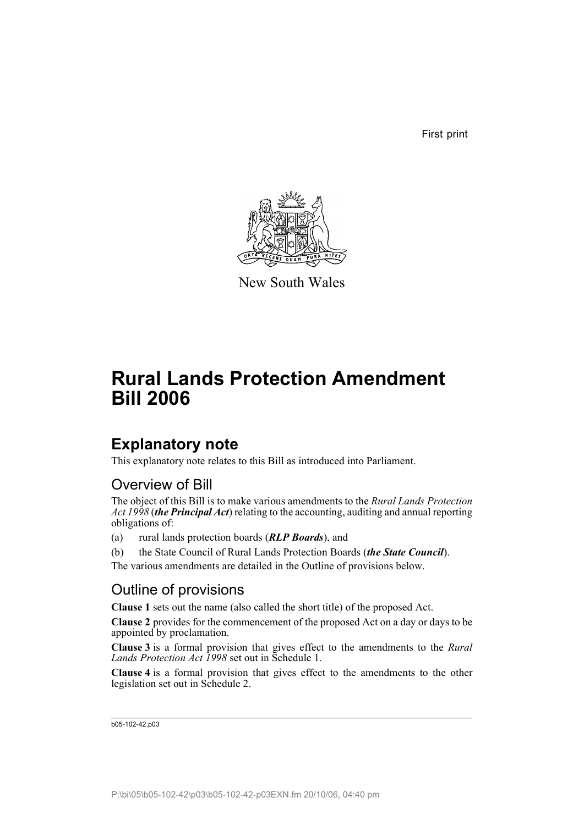First print



New South Wales

# **Rural Lands Protection Amendment Bill 2006**

## **Explanatory note**

This explanatory note relates to this Bill as introduced into Parliament.

## Overview of Bill

The object of this Bill is to make various amendments to the *Rural Lands Protection Act 1998* (*the Principal Act*) relating to the accounting, auditing and annual reporting obligations of:

(a) rural lands protection boards (*RLP Boards*), and

(b) the State Council of Rural Lands Protection Boards (*the State Council*).

The various amendments are detailed in the Outline of provisions below.

## Outline of provisions

**Clause 1** sets out the name (also called the short title) of the proposed Act.

**Clause 2** provides for the commencement of the proposed Act on a day or days to be appointed by proclamation.

**Clause 3** is a formal provision that gives effect to the amendments to the *Rural Lands Protection Act 1998* set out in Schedule 1.

**Clause 4** is a formal provision that gives effect to the amendments to the other legislation set out in Schedule 2.

b05-102-42.p03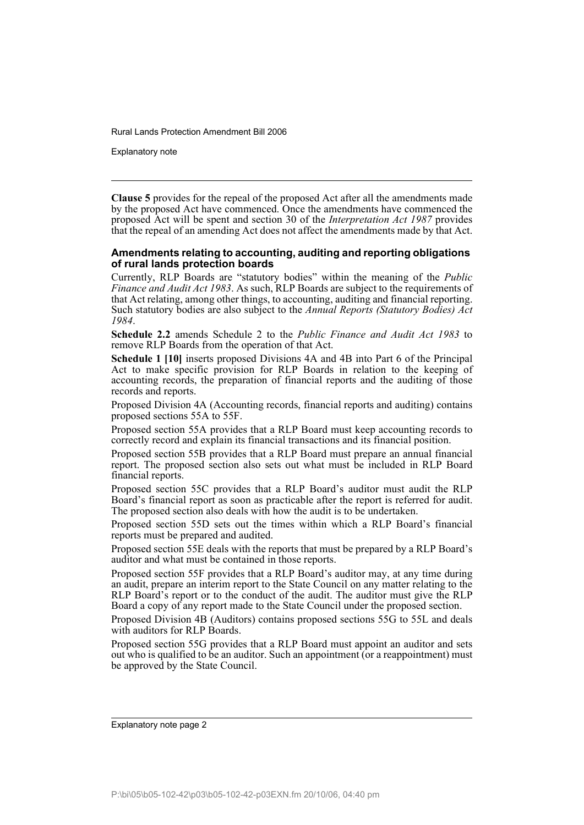Explanatory note

**Clause 5** provides for the repeal of the proposed Act after all the amendments made by the proposed Act have commenced. Once the amendments have commenced the proposed Act will be spent and section 30 of the *Interpretation Act 1987* provides that the repeal of an amending Act does not affect the amendments made by that Act.

#### **Amendments relating to accounting, auditing and reporting obligations of rural lands protection boards**

Currently, RLP Boards are "statutory bodies" within the meaning of the *Public Finance and Audit Act 1983*. As such, RLP Boards are subject to the requirements of that Act relating, among other things, to accounting, auditing and financial reporting. Such statutory bodies are also subject to the *Annual Reports (Statutory Bodies) Act 1984*.

**Schedule 2.2** amends Schedule 2 to the *Public Finance and Audit Act 1983* to remove RLP Boards from the operation of that Act.

**Schedule 1 [10]** inserts proposed Divisions 4A and 4B into Part 6 of the Principal Act to make specific provision for RLP Boards in relation to the keeping of accounting records, the preparation of financial reports and the auditing of those records and reports.

Proposed Division 4A (Accounting records, financial reports and auditing) contains proposed sections 55A to 55F.

Proposed section 55A provides that a RLP Board must keep accounting records to correctly record and explain its financial transactions and its financial position.

Proposed section 55B provides that a RLP Board must prepare an annual financial report. The proposed section also sets out what must be included in RLP Board financial reports.

Proposed section 55C provides that a RLP Board's auditor must audit the RLP Board's financial report as soon as practicable after the report is referred for audit. The proposed section also deals with how the audit is to be undertaken.

Proposed section 55D sets out the times within which a RLP Board's financial reports must be prepared and audited.

Proposed section 55E deals with the reports that must be prepared by a RLP Board's auditor and what must be contained in those reports.

Proposed section 55F provides that a RLP Board's auditor may, at any time during an audit, prepare an interim report to the State Council on any matter relating to the RLP Board's report or to the conduct of the audit. The auditor must give the RLP Board a copy of any report made to the State Council under the proposed section.

Proposed Division 4B (Auditors) contains proposed sections 55G to 55L and deals with auditors for RLP Boards.

Proposed section 55G provides that a RLP Board must appoint an auditor and sets out who is qualified to be an auditor. Such an appointment (or a reappointment) must be approved by the State Council.

Explanatory note page 2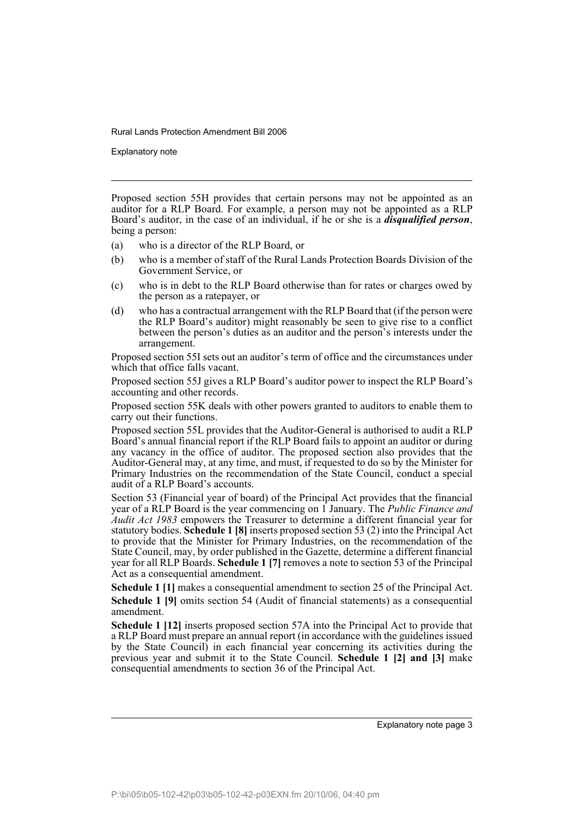Explanatory note

Proposed section 55H provides that certain persons may not be appointed as an auditor for a RLP Board. For example, a person may not be appointed as a RLP Board's auditor, in the case of an individual, if he or she is a *disqualified person*, being a person:

- (a) who is a director of the RLP Board, or
- (b) who is a member of staff of the Rural Lands Protection Boards Division of the Government Service, or
- (c) who is in debt to the RLP Board otherwise than for rates or charges owed by the person as a ratepayer, or
- (d) who has a contractual arrangement with the RLP Board that (if the person were the RLP Board's auditor) might reasonably be seen to give rise to a conflict between the person's duties as an auditor and the person's interests under the arrangement.

Proposed section 55I sets out an auditor's term of office and the circumstances under which that office falls vacant.

Proposed section 55J gives a RLP Board's auditor power to inspect the RLP Board's accounting and other records.

Proposed section 55K deals with other powers granted to auditors to enable them to carry out their functions.

Proposed section 55L provides that the Auditor-General is authorised to audit a RLP Board's annual financial report if the RLP Board fails to appoint an auditor or during any vacancy in the office of auditor. The proposed section also provides that the Auditor-General may, at any time, and must, if requested to do so by the Minister for Primary Industries on the recommendation of the State Council, conduct a special audit of a RLP Board's accounts.

Section 53 (Financial year of board) of the Principal Act provides that the financial year of a RLP Board is the year commencing on 1 January. The *Public Finance and Audit Act 1983* empowers the Treasurer to determine a different financial year for statutory bodies. **Schedule 1 [8]** inserts proposed section 53 (2) into the Principal Act to provide that the Minister for Primary Industries, on the recommendation of the State Council, may, by order published in the Gazette, determine a different financial year for all RLP Boards. **Schedule 1 [7]** removes a note to section 53 of the Principal Act as a consequential amendment.

**Schedule 1 [1]** makes a consequential amendment to section 25 of the Principal Act. **Schedule 1 [9]** omits section 54 (Audit of financial statements) as a consequential amendment.

**Schedule 1 [12]** inserts proposed section 57A into the Principal Act to provide that a RLP Board must prepare an annual report (in accordance with the guidelines issued by the State Council) in each financial year concerning its activities during the previous year and submit it to the State Council. **Schedule 1 [2] and [3]** make consequential amendments to section 36 of the Principal Act.

Explanatory note page 3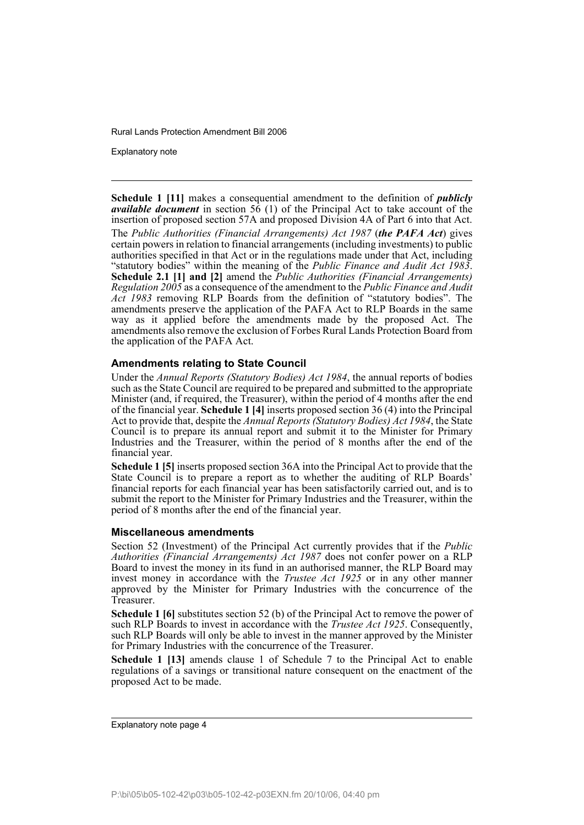Explanatory note

**Schedule 1 [11]** makes a consequential amendment to the definition of *publicly available document* in section 56 (1) of the Principal Act to take account of the insertion of proposed section 57A and proposed Division 4A of Part 6 into that Act. The *Public Authorities (Financial Arrangements) Act 1987* (*the PAFA Act*) gives certain powers in relation to financial arrangements (including investments) to public authorities specified in that Act or in the regulations made under that Act, including "statutory bodies" within the meaning of the *Public Finance and Audit Act 1983*. **Schedule 2.1 [1] and [2]** amend the *Public Authorities (Financial Arrangements) Regulation 2005* as a consequence of the amendment to the *Public Finance and Audit Act 1983* removing RLP Boards from the definition of "statutory bodies". The amendments preserve the application of the PAFA Act to RLP Boards in the same way as it applied before the amendments made by the proposed Act. The amendments also remove the exclusion of Forbes Rural Lands Protection Board from the application of the PAFA Act.

### **Amendments relating to State Council**

Under the *Annual Reports (Statutory Bodies) Act 1984*, the annual reports of bodies such as the State Council are required to be prepared and submitted to the appropriate Minister (and, if required, the Treasurer), within the period of 4 months after the end of the financial year. **Schedule 1 [4]** inserts proposed section 36 (4) into the Principal Act to provide that, despite the *Annual Reports (Statutory Bodies) Act 1984*, the State Council is to prepare its annual report and submit it to the Minister for Primary Industries and the Treasurer, within the period of 8 months after the end of the financial year.

**Schedule 1 [5]** inserts proposed section 36A into the Principal Act to provide that the State Council is to prepare a report as to whether the auditing of RLP Boards' financial reports for each financial year has been satisfactorily carried out, and is to submit the report to the Minister for Primary Industries and the Treasurer, within the period of 8 months after the end of the financial year.

#### **Miscellaneous amendments**

Section 52 (Investment) of the Principal Act currently provides that if the *Public Authorities (Financial Arrangements) Act 1987* does not confer power on a RLP Board to invest the money in its fund in an authorised manner, the RLP Board may invest money in accordance with the *Trustee Act 1925* or in any other manner approved by the Minister for Primary Industries with the concurrence of the Treasurer.

**Schedule 1 [6]** substitutes section 52 (b) of the Principal Act to remove the power of such RLP Boards to invest in accordance with the *Trustee Act 1925*. Consequently, such RLP Boards will only be able to invest in the manner approved by the Minister for Primary Industries with the concurrence of the Treasurer.

**Schedule 1 [13]** amends clause 1 of Schedule 7 to the Principal Act to enable regulations of a savings or transitional nature consequent on the enactment of the proposed Act to be made.

Explanatory note page 4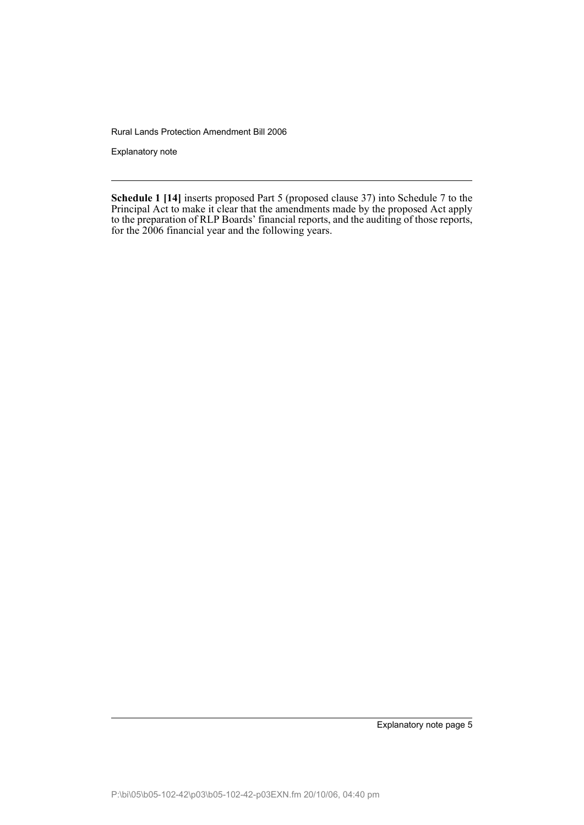Explanatory note

**Schedule 1 [14]** inserts proposed Part 5 (proposed clause 37) into Schedule 7 to the Principal Act to make it clear that the amendments made by the proposed Act apply to the preparation of RLP Boards' financial reports, and the auditing of those reports, for the 2006 financial year and the following years.

Explanatory note page 5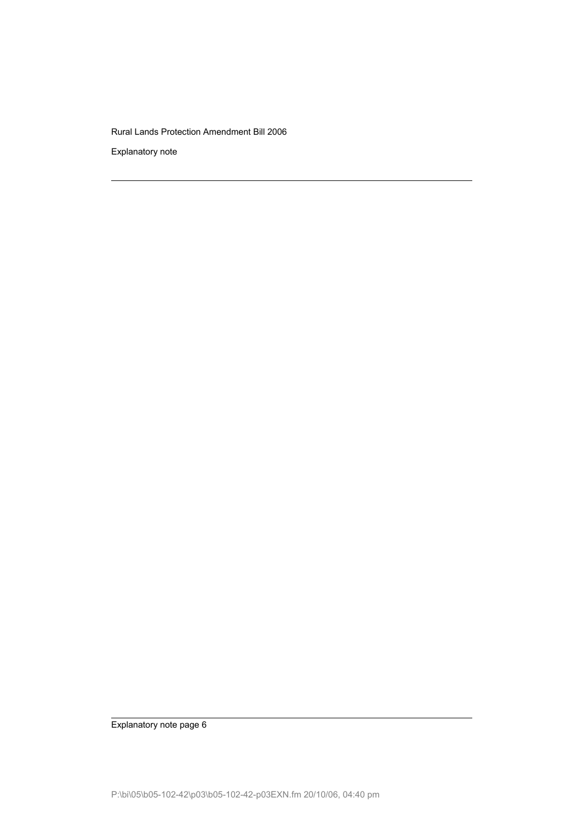Explanatory note

Explanatory note page 6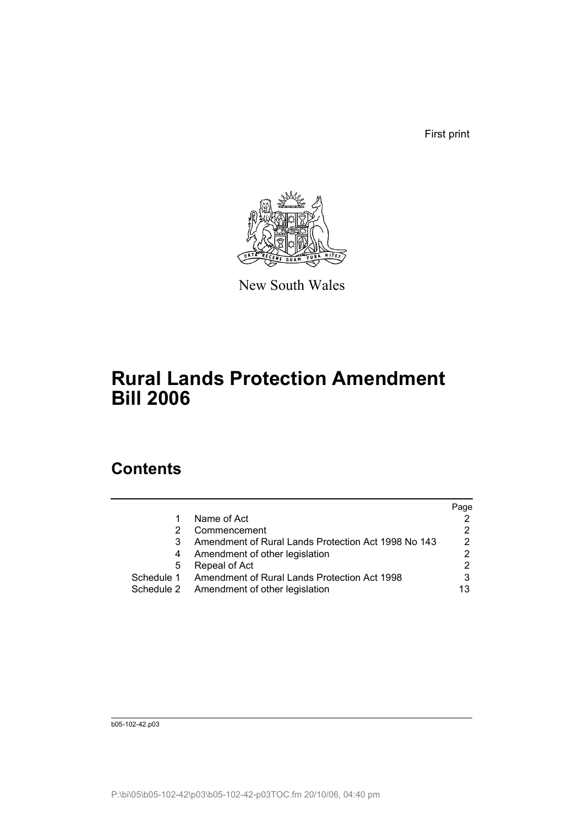First print



New South Wales

# **Rural Lands Protection Amendment Bill 2006**

## **Contents**

|            |                                                     | Page          |
|------------|-----------------------------------------------------|---------------|
|            | Name of Act                                         |               |
|            | Commencement                                        | 2             |
|            | Amendment of Rural Lands Protection Act 1998 No 143 | $\mathcal{P}$ |
| 4          | Amendment of other legislation                      | 2             |
| 5          | Repeal of Act                                       | $\mathcal{P}$ |
| Schedule 1 | Amendment of Rural Lands Protection Act 1998        | 3             |
| Schedule 2 | Amendment of other legislation                      | 13            |
|            |                                                     |               |

b05-102-42.p03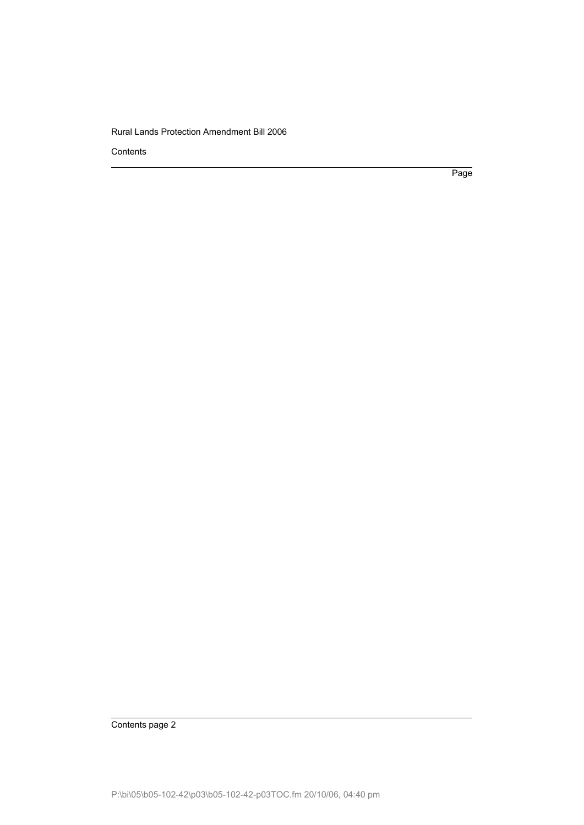**Contents** 

Page

Contents page 2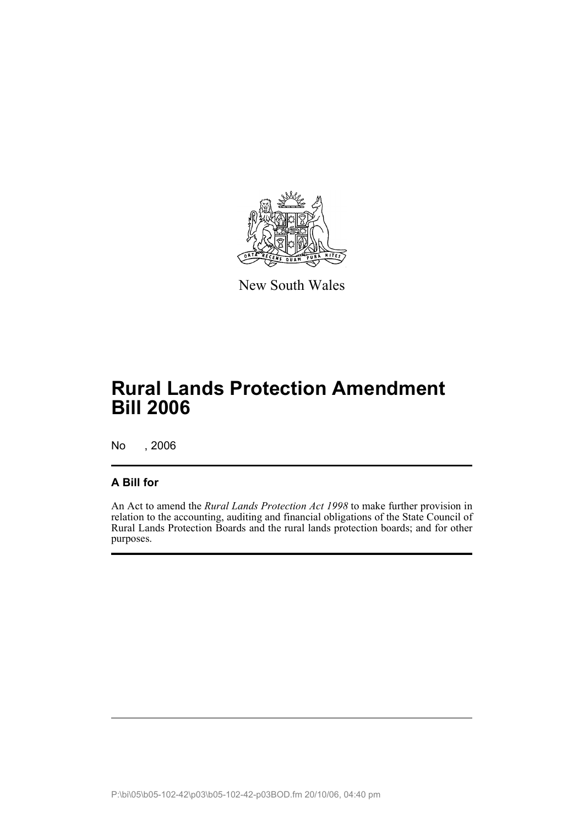

New South Wales

# **Rural Lands Protection Amendment Bill 2006**

No , 2006

### **A Bill for**

An Act to amend the *Rural Lands Protection Act 1998* to make further provision in relation to the accounting, auditing and financial obligations of the State Council of Rural Lands Protection Boards and the rural lands protection boards; and for other purposes.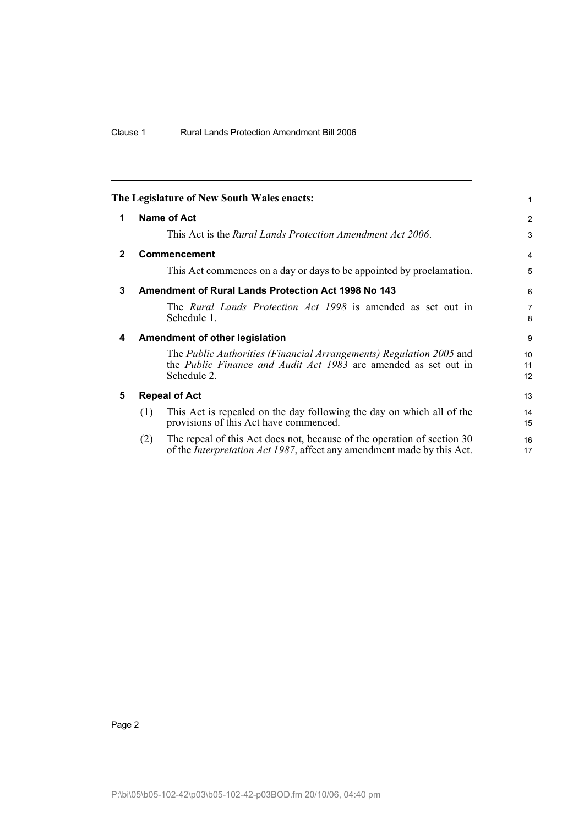|              |     | The Legislature of New South Wales enacts:                                                                                                            |                     |
|--------------|-----|-------------------------------------------------------------------------------------------------------------------------------------------------------|---------------------|
|              |     |                                                                                                                                                       | 1                   |
| 1            |     | Name of Act                                                                                                                                           | 2                   |
|              |     | This Act is the <i>Rural Lands Protection Amendment Act 2006</i> .                                                                                    | 3                   |
| $\mathbf{2}$ |     | Commencement                                                                                                                                          | $\overline{4}$      |
|              |     | This Act commences on a day or days to be appointed by proclamation.                                                                                  | 5                   |
| 3            |     | <b>Amendment of Rural Lands Protection Act 1998 No 143</b>                                                                                            | 6                   |
|              |     | The Rural Lands Protection Act 1998 is amended as set out in<br>Schedule 1.                                                                           | $\overline{7}$<br>8 |
| 4            |     | <b>Amendment of other legislation</b>                                                                                                                 | 9                   |
|              |     | The Public Authorities (Financial Arrangements) Regulation 2005 and<br>the Public Finance and Audit Act 1983 are amended as set out in<br>Schedule 2. | 10<br>11<br>12      |
| 5            |     | <b>Repeal of Act</b>                                                                                                                                  | 13                  |
|              | (1) | This Act is repealed on the day following the day on which all of the<br>provisions of this Act have commenced.                                       | 14<br>15            |
|              | (2) | The repeal of this Act does not, because of the operation of section 30<br>of the Interpretation Act 1987, affect any amendment made by this Act.     | 16<br>17            |
|              |     |                                                                                                                                                       |                     |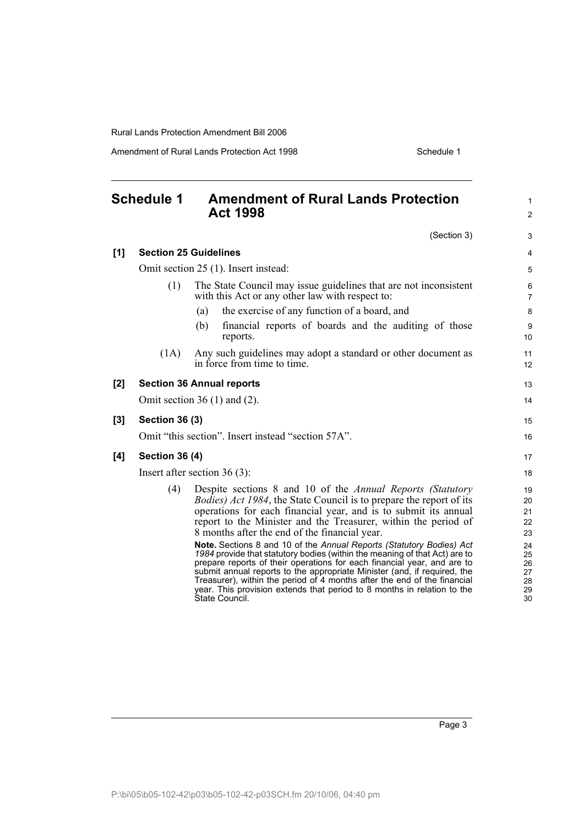Amendment of Rural Lands Protection Act 1998 Schedule 1

| <b>Schedule 1</b> |                                  | <b>Amendment of Rural Lands Protection</b><br><b>Act 1998</b>                                                                                                                                                                                                                                                                                                                                                                                                                                                                                                                                                                                                                                                                                                                                                 |                                                                      |  |
|-------------------|----------------------------------|---------------------------------------------------------------------------------------------------------------------------------------------------------------------------------------------------------------------------------------------------------------------------------------------------------------------------------------------------------------------------------------------------------------------------------------------------------------------------------------------------------------------------------------------------------------------------------------------------------------------------------------------------------------------------------------------------------------------------------------------------------------------------------------------------------------|----------------------------------------------------------------------|--|
|                   |                                  | (Section 3)                                                                                                                                                                                                                                                                                                                                                                                                                                                                                                                                                                                                                                                                                                                                                                                                   | 3                                                                    |  |
| [1]               |                                  | <b>Section 25 Guidelines</b>                                                                                                                                                                                                                                                                                                                                                                                                                                                                                                                                                                                                                                                                                                                                                                                  | 4                                                                    |  |
|                   |                                  | Omit section 25 (1). Insert instead:                                                                                                                                                                                                                                                                                                                                                                                                                                                                                                                                                                                                                                                                                                                                                                          | 5                                                                    |  |
|                   | (1)                              | The State Council may issue guidelines that are not inconsistent<br>with this Act or any other law with respect to:                                                                                                                                                                                                                                                                                                                                                                                                                                                                                                                                                                                                                                                                                           | 6<br>$\overline{7}$                                                  |  |
|                   |                                  | the exercise of any function of a board, and<br>(a)                                                                                                                                                                                                                                                                                                                                                                                                                                                                                                                                                                                                                                                                                                                                                           | 8                                                                    |  |
|                   |                                  | financial reports of boards and the auditing of those<br>(b)<br>reports.                                                                                                                                                                                                                                                                                                                                                                                                                                                                                                                                                                                                                                                                                                                                      | 9<br>10                                                              |  |
|                   | (1A)                             | Any such guidelines may adopt a standard or other document as<br>in force from time to time.                                                                                                                                                                                                                                                                                                                                                                                                                                                                                                                                                                                                                                                                                                                  | 11<br>12                                                             |  |
| [2]               | <b>Section 36 Annual reports</b> |                                                                                                                                                                                                                                                                                                                                                                                                                                                                                                                                                                                                                                                                                                                                                                                                               |                                                                      |  |
|                   |                                  | Omit section 36 $(1)$ and $(2)$ .                                                                                                                                                                                                                                                                                                                                                                                                                                                                                                                                                                                                                                                                                                                                                                             | 14                                                                   |  |
| [3]               | <b>Section 36 (3)</b>            |                                                                                                                                                                                                                                                                                                                                                                                                                                                                                                                                                                                                                                                                                                                                                                                                               | 15                                                                   |  |
|                   |                                  | Omit "this section". Insert instead "section 57A".                                                                                                                                                                                                                                                                                                                                                                                                                                                                                                                                                                                                                                                                                                                                                            | 16                                                                   |  |
| [4]               | <b>Section 36 (4)</b>            |                                                                                                                                                                                                                                                                                                                                                                                                                                                                                                                                                                                                                                                                                                                                                                                                               | 17                                                                   |  |
|                   |                                  | Insert after section $36(3)$ :                                                                                                                                                                                                                                                                                                                                                                                                                                                                                                                                                                                                                                                                                                                                                                                | 18                                                                   |  |
|                   | (4)                              | Despite sections 8 and 10 of the Annual Reports (Statutory<br>Bodies) Act 1984, the State Council is to prepare the report of its<br>operations for each financial year, and is to submit its annual<br>report to the Minister and the Treasurer, within the period of<br>8 months after the end of the financial year.<br>Note. Sections 8 and 10 of the Annual Reports (Statutory Bodies) Act<br>1984 provide that statutory bodies (within the meaning of that Act) are to<br>prepare reports of their operations for each financial year, and are to<br>submit annual reports to the appropriate Minister (and, if required, the<br>Treasurer), within the period of 4 months after the end of the financial<br>year. This provision extends that period to 8 months in relation to the<br>State Council. | 19<br>20<br>21<br>22<br>23<br>24<br>25<br>26<br>27<br>28<br>29<br>30 |  |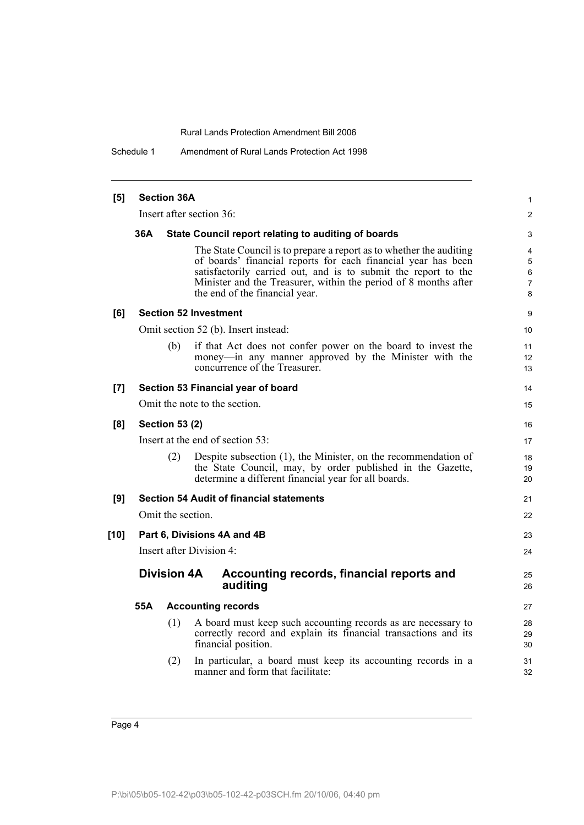Schedule 1 Amendment of Rural Lands Protection Act 1998

| [5]    |     | <b>Section 36A</b>    |                                                                                                                                                                                                                                                                                                             | 1                                  |
|--------|-----|-----------------------|-------------------------------------------------------------------------------------------------------------------------------------------------------------------------------------------------------------------------------------------------------------------------------------------------------------|------------------------------------|
|        |     |                       | Insert after section 36:                                                                                                                                                                                                                                                                                    | 2                                  |
|        | 36A |                       | State Council report relating to auditing of boards                                                                                                                                                                                                                                                         | 3                                  |
|        |     |                       | The State Council is to prepare a report as to whether the auditing<br>of boards' financial reports for each financial year has been<br>satisfactorily carried out, and is to submit the report to the<br>Minister and the Treasurer, within the period of 8 months after<br>the end of the financial year. | 4<br>5<br>6<br>$\overline{7}$<br>8 |
| [6]    |     |                       | <b>Section 52 Investment</b>                                                                                                                                                                                                                                                                                | 9                                  |
|        |     |                       | Omit section 52 (b). Insert instead:                                                                                                                                                                                                                                                                        | 10                                 |
|        |     | (b)                   | if that Act does not confer power on the board to invest the<br>money—in any manner approved by the Minister with the<br>concurrence of the Treasurer.                                                                                                                                                      | 11<br>12<br>13                     |
| [7]    |     |                       | Section 53 Financial year of board                                                                                                                                                                                                                                                                          | 14                                 |
|        |     |                       | Omit the note to the section.                                                                                                                                                                                                                                                                               | 15                                 |
| [8]    |     | <b>Section 53 (2)</b> |                                                                                                                                                                                                                                                                                                             | 16                                 |
|        |     |                       | Insert at the end of section 53:                                                                                                                                                                                                                                                                            | 17                                 |
|        |     | (2)                   | Despite subsection (1), the Minister, on the recommendation of<br>the State Council, may, by order published in the Gazette,<br>determine a different financial year for all boards.                                                                                                                        | 18<br>19<br>20                     |
| [9]    |     |                       | <b>Section 54 Audit of financial statements</b>                                                                                                                                                                                                                                                             | 21                                 |
|        |     | Omit the section.     |                                                                                                                                                                                                                                                                                                             | 22                                 |
| $[10]$ |     |                       | Part 6, Divisions 4A and 4B                                                                                                                                                                                                                                                                                 | 23                                 |
|        |     |                       | Insert after Division 4:                                                                                                                                                                                                                                                                                    | 24                                 |
|        |     | <b>Division 4A</b>    | Accounting records, financial reports and<br>auditing                                                                                                                                                                                                                                                       | 25<br>26                           |
|        | 55A |                       | <b>Accounting records</b>                                                                                                                                                                                                                                                                                   | 27                                 |
|        |     | (1)                   | A board must keep such accounting records as are necessary to<br>correctly record and explain its financial transactions and its<br>financial position.                                                                                                                                                     | 28<br>29<br>30                     |
|        |     | (2)                   | In particular, a board must keep its accounting records in a<br>manner and form that facilitate:                                                                                                                                                                                                            | 31<br>32                           |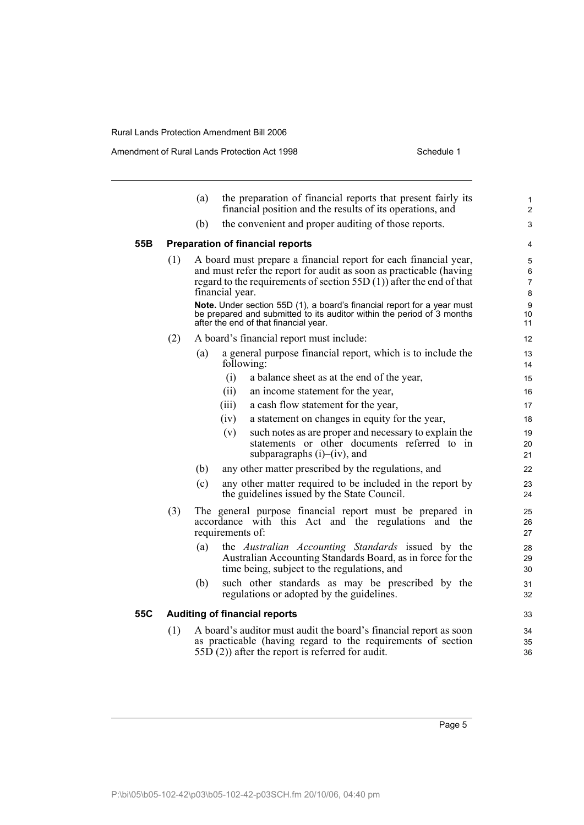Amendment of Rural Lands Protection Act 1998 Schedule 1

|     |     | (a) | the preparation of financial reports that present fairly its<br>financial position and the results of its operations, and                                                                                                                                                                                                                                                                                                         | $\mathbf{1}$<br>$\overline{2}$          |
|-----|-----|-----|-----------------------------------------------------------------------------------------------------------------------------------------------------------------------------------------------------------------------------------------------------------------------------------------------------------------------------------------------------------------------------------------------------------------------------------|-----------------------------------------|
|     |     | (b) | the convenient and proper auditing of those reports.                                                                                                                                                                                                                                                                                                                                                                              | 3                                       |
| 55B |     |     | <b>Preparation of financial reports</b>                                                                                                                                                                                                                                                                                                                                                                                           | 4                                       |
|     | (1) |     | A board must prepare a financial report for each financial year,<br>and must refer the report for audit as soon as practicable (having<br>regard to the requirements of section $55D(1)$ ) after the end of that<br>financial year.<br>Note. Under section 55D (1), a board's financial report for a year must<br>be prepared and submitted to its auditor within the period of 3 months<br>after the end of that financial year. | 5<br>6<br>7<br>$\bf 8$<br>9<br>10<br>11 |
|     | (2) |     | A board's financial report must include:                                                                                                                                                                                                                                                                                                                                                                                          | 12                                      |
|     |     | (a) | a general purpose financial report, which is to include the<br>following:                                                                                                                                                                                                                                                                                                                                                         | 13<br>14                                |
|     |     |     | (i)<br>a balance sheet as at the end of the year,                                                                                                                                                                                                                                                                                                                                                                                 | 15                                      |
|     |     |     | (ii)<br>an income statement for the year,                                                                                                                                                                                                                                                                                                                                                                                         | 16                                      |
|     |     |     | (iii)<br>a cash flow statement for the year,                                                                                                                                                                                                                                                                                                                                                                                      | 17                                      |
|     |     |     | (iv)<br>a statement on changes in equity for the year,                                                                                                                                                                                                                                                                                                                                                                            | 18                                      |
|     |     |     | such notes as are proper and necessary to explain the<br>(v)<br>statements or other documents referred to in<br>subparagraphs $(i)$ – $(iv)$ , and                                                                                                                                                                                                                                                                                | 19<br>20<br>21                          |
|     |     | (b) | any other matter prescribed by the regulations, and                                                                                                                                                                                                                                                                                                                                                                               | 22                                      |
|     |     | (c) | any other matter required to be included in the report by<br>the guidelines issued by the State Council.                                                                                                                                                                                                                                                                                                                          | 23<br>24                                |
|     | (3) |     | The general purpose financial report must be prepared in<br>accordance with this Act and the regulations and the<br>requirements of:                                                                                                                                                                                                                                                                                              | 25<br>26<br>27                          |
|     |     | (a) | the Australian Accounting Standards issued by the<br>Australian Accounting Standards Board, as in force for the<br>time being, subject to the regulations, and                                                                                                                                                                                                                                                                    | 28<br>29<br>30                          |
|     |     | (b) | such other standards as may be prescribed by the<br>regulations or adopted by the guidelines.                                                                                                                                                                                                                                                                                                                                     | 31<br>32                                |
| 55C |     |     | <b>Auditing of financial reports</b>                                                                                                                                                                                                                                                                                                                                                                                              | 33                                      |
|     | (1) |     | A board's auditor must audit the board's financial report as soon<br>as practicable (having regard to the requirements of section<br>$55D(2)$ ) after the report is referred for audit.                                                                                                                                                                                                                                           | 34<br>35<br>36                          |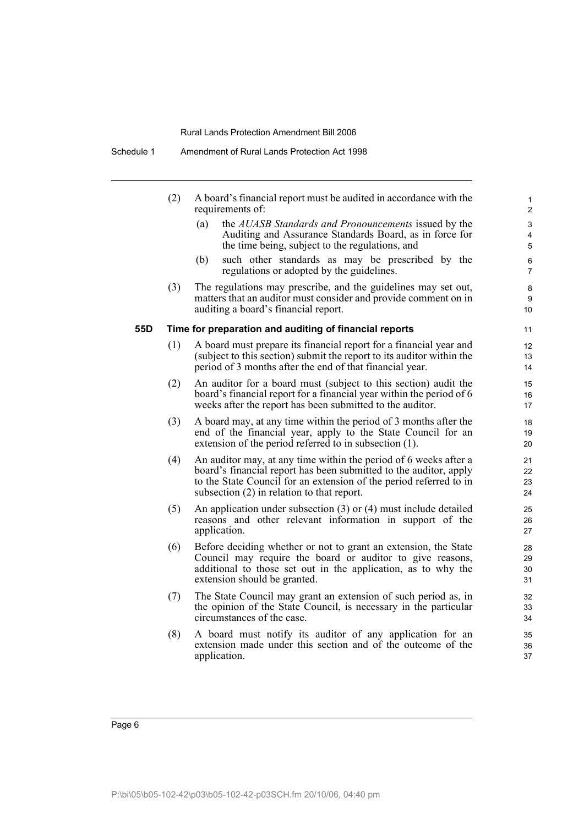|     | (2) | A board's financial report must be audited in accordance with the<br>requirements of:                                                                                                                                                                       | $\mathbf{1}$<br>$\overline{c}$ |
|-----|-----|-------------------------------------------------------------------------------------------------------------------------------------------------------------------------------------------------------------------------------------------------------------|--------------------------------|
|     |     | the AUASB Standards and Pronouncements issued by the<br>(a)<br>Auditing and Assurance Standards Board, as in force for<br>the time being, subject to the regulations, and                                                                                   | 3<br>4<br>5                    |
|     |     | such other standards as may be prescribed by the<br>(b)<br>regulations or adopted by the guidelines.                                                                                                                                                        | 6<br>$\overline{7}$            |
|     | (3) | The regulations may prescribe, and the guidelines may set out,<br>matters that an auditor must consider and provide comment on in<br>auditing a board's financial report.                                                                                   | 8<br>9<br>10                   |
| 55D |     | Time for preparation and auditing of financial reports                                                                                                                                                                                                      | 11                             |
|     | (1) | A board must prepare its financial report for a financial year and<br>(subject to this section) submit the report to its auditor within the<br>period of 3 months after the end of that financial year.                                                     | 12<br>13<br>14                 |
|     | (2) | An auditor for a board must (subject to this section) audit the<br>board's financial report for a financial year within the period of 6<br>weeks after the report has been submitted to the auditor.                                                        | 15<br>16<br>17                 |
|     | (3) | A board may, at any time within the period of 3 months after the<br>end of the financial year, apply to the State Council for an<br>extension of the period referred to in subsection (1).                                                                  | 18<br>19<br>20                 |
|     | (4) | An auditor may, at any time within the period of 6 weeks after a<br>board's financial report has been submitted to the auditor, apply<br>to the State Council for an extension of the period referred to in<br>subsection $(2)$ in relation to that report. | 21<br>22<br>23<br>24           |
|     | (5) | An application under subsection $(3)$ or $(4)$ must include detailed<br>reasons and other relevant information in support of the<br>application.                                                                                                            | 25<br>26<br>27                 |
|     | (6) | Before deciding whether or not to grant an extension, the State<br>Council may require the board or auditor to give reasons,<br>additional to those set out in the application, as to why the<br>extension should be granted.                               | 28<br>29<br>30<br>31           |
|     | (7) | The State Council may grant an extension of such period as, in<br>the opinion of the State Council, is necessary in the particular<br>circumstances of the case.                                                                                            | 32<br>33<br>34                 |
|     | (8) | A board must notify its auditor of any application for an<br>extension made under this section and of the outcome of the<br>application.                                                                                                                    | 35<br>36<br>37                 |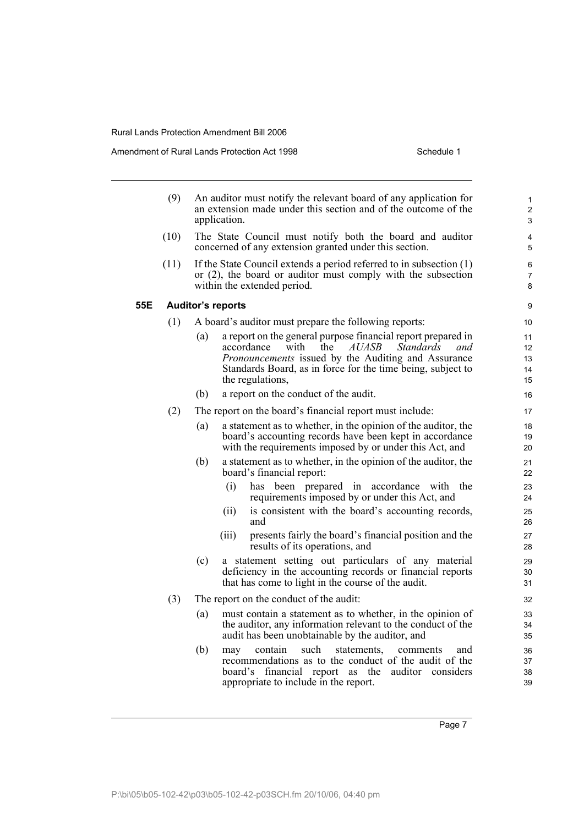Amendment of Rural Lands Protection Act 1998 Schedule 1

|     | (9)  | application.             |       | An auditor must notify the relevant board of any application for<br>an extension made under this section and of the outcome of the                                                                                                                                                    | $\mathbf{1}$<br>$\overline{2}$<br>3 |
|-----|------|--------------------------|-------|---------------------------------------------------------------------------------------------------------------------------------------------------------------------------------------------------------------------------------------------------------------------------------------|-------------------------------------|
|     | (10) |                          |       | The State Council must notify both the board and auditor<br>concerned of any extension granted under this section.                                                                                                                                                                    | 4<br>5                              |
|     | (11) |                          |       | If the State Council extends a period referred to in subsection (1)<br>or $(2)$ , the board or auditor must comply with the subsection<br>within the extended period.                                                                                                                 | 6<br>$\overline{7}$<br>8            |
| 55E |      | <b>Auditor's reports</b> |       |                                                                                                                                                                                                                                                                                       | 9                                   |
|     | (1)  |                          |       | A board's auditor must prepare the following reports:                                                                                                                                                                                                                                 | 10                                  |
|     |      | (a)                      |       | a report on the general purpose financial report prepared in<br>the<br><i>AUASB</i><br>accordance<br>with<br><i>Standards</i><br>and<br><i>Pronouncements</i> issued by the Auditing and Assurance<br>Standards Board, as in force for the time being, subject to<br>the regulations, | 11<br>12<br>13<br>14<br>15          |
|     |      | (b)                      |       | a report on the conduct of the audit.                                                                                                                                                                                                                                                 | 16                                  |
|     | (2)  |                          |       | The report on the board's financial report must include:                                                                                                                                                                                                                              | 17                                  |
|     |      | (a)                      |       | a statement as to whether, in the opinion of the auditor, the<br>board's accounting records have been kept in accordance<br>with the requirements imposed by or under this Act, and                                                                                                   | 18<br>19<br>20                      |
|     |      | (b)                      |       | a statement as to whether, in the opinion of the auditor, the<br>board's financial report:                                                                                                                                                                                            | 21<br>22                            |
|     |      |                          | (i)   | has been prepared in accordance with the<br>requirements imposed by or under this Act, and                                                                                                                                                                                            | 23<br>24                            |
|     |      |                          | (ii)  | is consistent with the board's accounting records,<br>and                                                                                                                                                                                                                             | 25<br>26                            |
|     |      |                          | (iii) | presents fairly the board's financial position and the<br>results of its operations, and                                                                                                                                                                                              | 27<br>28                            |
|     |      | (c)                      |       | a statement setting out particulars of any material<br>deficiency in the accounting records or financial reports<br>that has come to light in the course of the audit.                                                                                                                | 29<br>30<br>31                      |
|     | (3)  |                          |       | The report on the conduct of the audit:                                                                                                                                                                                                                                               | 32                                  |
|     |      | (a)                      |       | must contain a statement as to whether, in the opinion of<br>the auditor, any information relevant to the conduct of the<br>audit has been unobtainable by the auditor, and                                                                                                           | 33<br>34<br>35                      |
|     |      | (b)                      | may   | contain<br>such<br>statements,<br>comments<br>and<br>recommendations as to the conduct of the audit of the<br>board's financial report as the<br>auditor considers<br>appropriate to include in the report.                                                                           | 36<br>37<br>38<br>39                |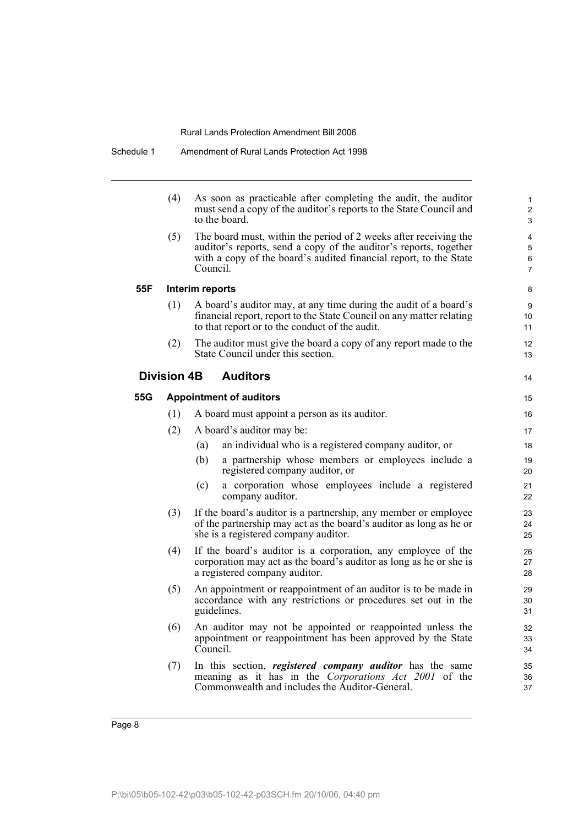|     | (4)                | As soon as practicable after completing the audit, the auditor<br>must send a copy of the auditor's reports to the State Council and<br>to the board.                                                                  | $\mathbf{1}$<br>$\overline{\mathbf{c}}$<br>3 |
|-----|--------------------|------------------------------------------------------------------------------------------------------------------------------------------------------------------------------------------------------------------------|----------------------------------------------|
|     | (5)                | The board must, within the period of 2 weeks after receiving the<br>auditor's reports, send a copy of the auditor's reports, together<br>with a copy of the board's audited financial report, to the State<br>Council. | 4<br>5<br>6<br>$\overline{7}$                |
| 55F |                    | Interim reports                                                                                                                                                                                                        | 8                                            |
|     | (1)                | A board's auditor may, at any time during the audit of a board's<br>financial report, report to the State Council on any matter relating<br>to that report or to the conduct of the audit.                             | 9<br>10<br>11                                |
|     | (2)                | The auditor must give the board a copy of any report made to the<br>State Council under this section.                                                                                                                  | 12<br>13                                     |
|     | <b>Division 4B</b> | <b>Auditors</b>                                                                                                                                                                                                        | 14                                           |
| 55G |                    | <b>Appointment of auditors</b>                                                                                                                                                                                         | 15                                           |
|     | (1)                | A board must appoint a person as its auditor.                                                                                                                                                                          | 16                                           |
|     | (2)                | A board's auditor may be:                                                                                                                                                                                              | 17                                           |
|     |                    | an individual who is a registered company auditor, or<br>(a)                                                                                                                                                           | 18                                           |
|     |                    | (b)<br>a partnership whose members or employees include a<br>registered company auditor, or                                                                                                                            | 19<br>20                                     |
|     |                    | a corporation whose employees include a registered<br>(c)<br>company auditor.                                                                                                                                          | 21<br>22                                     |
|     | (3)                | If the board's auditor is a partnership, any member or employee<br>of the partnership may act as the board's auditor as long as he or<br>she is a registered company auditor.                                          | 23<br>24<br>25                               |
|     | (4)                | If the board's auditor is a corporation, any employee of the<br>corporation may act as the board's auditor as long as he or she is<br>a registered company auditor.                                                    | 26<br>27<br>28                               |
|     | (5)                | An appointment or reappointment of an auditor is to be made in<br>accordance with any restrictions or procedures set out in the<br>guidelines.                                                                         | 29<br>30<br>31                               |
|     | (6)                | An auditor may not be appointed or reappointed unless the<br>appointment or reappointment has been approved by the State<br>Council.                                                                                   | 32<br>33<br>34                               |
|     | (7)                | In this section, <i>registered company auditor</i> has the same<br>meaning as it has in the Corporations Act 2001 of the<br>Commonwealth and includes the Auditor-General.                                             | 35<br>36<br>37                               |
|     |                    |                                                                                                                                                                                                                        |                                              |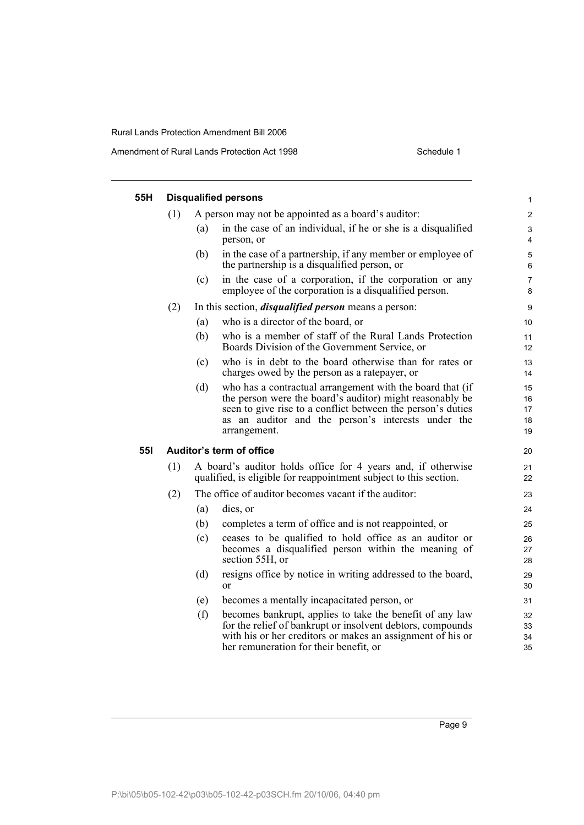| 55H        |     |     | <b>Disqualified persons</b>                                                                                                                                                                                                                                | $\mathbf{1}$                   |
|------------|-----|-----|------------------------------------------------------------------------------------------------------------------------------------------------------------------------------------------------------------------------------------------------------------|--------------------------------|
|            | (1) |     | A person may not be appointed as a board's auditor:                                                                                                                                                                                                        | $\overline{\mathbf{c}}$        |
|            |     | (a) | in the case of an individual, if he or she is a disqualified<br>person, or                                                                                                                                                                                 | $\ensuremath{\mathsf{3}}$<br>4 |
|            |     | (b) | in the case of a partnership, if any member or employee of<br>the partnership is a disqualified person, or                                                                                                                                                 | $\sqrt{5}$<br>6                |
|            |     | (c) | in the case of a corporation, if the corporation or any<br>employee of the corporation is a disqualified person.                                                                                                                                           | $\overline{7}$<br>8            |
|            | (2) |     | In this section, <i>disqualified person</i> means a person:                                                                                                                                                                                                | $\boldsymbol{9}$               |
|            |     | (a) | who is a director of the board, or                                                                                                                                                                                                                         | 10                             |
|            |     | (b) | who is a member of staff of the Rural Lands Protection<br>Boards Division of the Government Service, or                                                                                                                                                    | 11<br>12                       |
|            |     | (c) | who is in debt to the board otherwise than for rates or<br>charges owed by the person as a ratepayer, or                                                                                                                                                   | 13<br>14                       |
|            |     | (d) | who has a contractual arrangement with the board that (if<br>the person were the board's auditor) might reasonably be<br>seen to give rise to a conflict between the person's duties<br>as an auditor and the person's interests under the<br>arrangement. | 15<br>16<br>17<br>18<br>19     |
| <b>551</b> |     |     | Auditor's term of office                                                                                                                                                                                                                                   | 20                             |
|            | (1) |     | A board's auditor holds office for 4 years and, if otherwise<br>qualified, is eligible for reappointment subject to this section.                                                                                                                          | 21<br>22                       |
|            | (2) |     | The office of auditor becomes vacant if the auditor:                                                                                                                                                                                                       | 23                             |
|            |     | (a) | dies, or                                                                                                                                                                                                                                                   | 24                             |
|            |     | (b) | completes a term of office and is not reappointed, or                                                                                                                                                                                                      | 25                             |
|            |     | (c) | ceases to be qualified to hold office as an auditor or<br>becomes a disqualified person within the meaning of<br>section 55H, or                                                                                                                           | 26<br>27<br>28                 |
|            |     | (d) | resigns office by notice in writing addressed to the board,<br>or                                                                                                                                                                                          | 29<br>30                       |
|            |     | (e) | becomes a mentally incapacitated person, or                                                                                                                                                                                                                | 31                             |
|            |     | (f) | becomes bankrupt, applies to take the benefit of any law<br>for the relief of bankrupt or insolvent debtors, compounds<br>with his or her creditors or makes an assignment of his or<br>her remuneration for their benefit, or                             | 32<br>33<br>34<br>35           |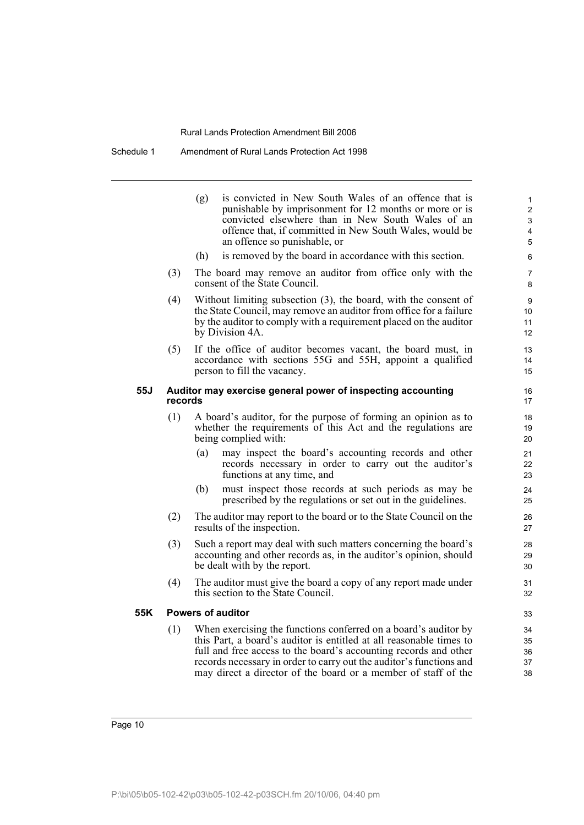Schedule 1 Amendment of Rural Lands Protection Act 1998

|     |         | (g) | is convicted in New South Wales of an offence that is<br>punishable by imprisonment for 12 months or more or is<br>convicted elsewhere than in New South Wales of an<br>offence that, if committed in New South Wales, would be<br>an offence so punishable, or                                                                                     | $\mathbf{1}$<br>$\overline{c}$<br>3<br>4<br>5 |
|-----|---------|-----|-----------------------------------------------------------------------------------------------------------------------------------------------------------------------------------------------------------------------------------------------------------------------------------------------------------------------------------------------------|-----------------------------------------------|
|     |         | (h) | is removed by the board in accordance with this section.                                                                                                                                                                                                                                                                                            | 6                                             |
|     | (3)     |     | The board may remove an auditor from office only with the<br>consent of the State Council.                                                                                                                                                                                                                                                          | 7<br>8                                        |
|     | (4)     |     | Without limiting subsection (3), the board, with the consent of<br>the State Council, may remove an auditor from office for a failure<br>by the auditor to comply with a requirement placed on the auditor<br>by Division 4A.                                                                                                                       | 9<br>10<br>11<br>12                           |
|     | (5)     |     | If the office of auditor becomes vacant, the board must, in<br>accordance with sections 55G and 55H, appoint a qualified<br>person to fill the vacancy.                                                                                                                                                                                             | 13<br>14<br>15                                |
| 55J | records |     | Auditor may exercise general power of inspecting accounting                                                                                                                                                                                                                                                                                         | 16<br>17                                      |
|     | (1)     |     | A board's auditor, for the purpose of forming an opinion as to<br>whether the requirements of this Act and the regulations are<br>being complied with:                                                                                                                                                                                              | 18<br>19<br>20                                |
|     |         | (a) | may inspect the board's accounting records and other<br>records necessary in order to carry out the auditor's<br>functions at any time, and                                                                                                                                                                                                         | 21<br>22<br>23                                |
|     |         | (b) | must inspect those records at such periods as may be<br>prescribed by the regulations or set out in the guidelines.                                                                                                                                                                                                                                 | 24<br>25                                      |
|     | (2)     |     | The auditor may report to the board or to the State Council on the<br>results of the inspection.                                                                                                                                                                                                                                                    | 26<br>27                                      |
|     | (3)     |     | Such a report may deal with such matters concerning the board's<br>accounting and other records as, in the auditor's opinion, should<br>be dealt with by the report.                                                                                                                                                                                | 28<br>29<br>30                                |
|     | (4)     |     | The auditor must give the board a copy of any report made under<br>this section to the State Council.                                                                                                                                                                                                                                               | 31<br>32                                      |
| 55K |         |     | Powers of auditor                                                                                                                                                                                                                                                                                                                                   | 33                                            |
|     | (1)     |     | When exercising the functions conferred on a board's auditor by<br>this Part, a board's auditor is entitled at all reasonable times to<br>full and free access to the board's accounting records and other<br>records necessary in order to carry out the auditor's functions and<br>may direct a director of the board or a member of staff of the | 34<br>35<br>36<br>37<br>38                    |

may direct a director of the board or a member of staff of the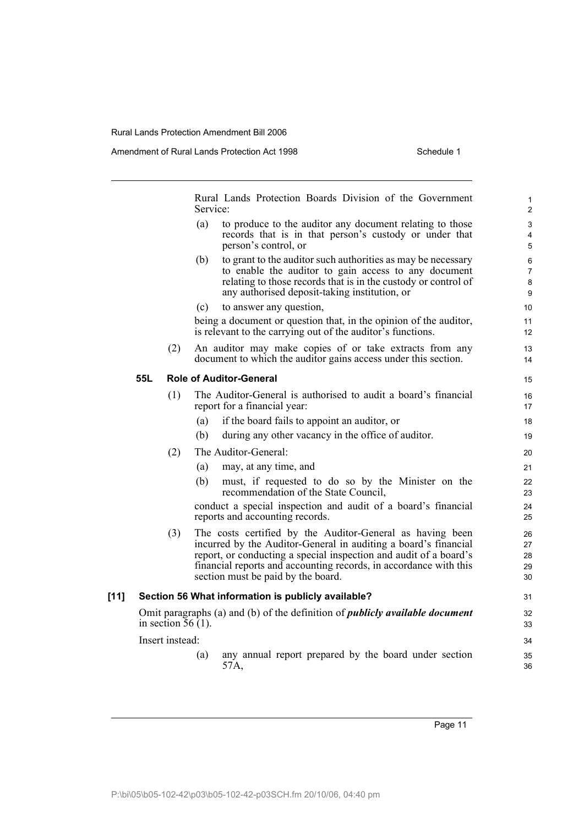|        |     |                       | Rural Lands Protection Boards Division of the Government<br>Service:                                                                                                                                                                                                                                         | 1<br>$\overline{2}$               |
|--------|-----|-----------------------|--------------------------------------------------------------------------------------------------------------------------------------------------------------------------------------------------------------------------------------------------------------------------------------------------------------|-----------------------------------|
|        |     |                       | (a)<br>to produce to the auditor any document relating to those<br>records that is in that person's custody or under that<br>person's control, or                                                                                                                                                            | 3<br>$\overline{\mathbf{4}}$<br>5 |
|        |     |                       | (b)<br>to grant to the auditor such authorities as may be necessary<br>to enable the auditor to gain access to any document<br>relating to those records that is in the custody or control of<br>any authorised deposit-taking institution, or                                                               | 6<br>$\overline{7}$<br>8<br>9     |
|        |     |                       | (c)<br>to answer any question,                                                                                                                                                                                                                                                                               | 10                                |
|        |     |                       | being a document or question that, in the opinion of the auditor,<br>is relevant to the carrying out of the auditor's functions.                                                                                                                                                                             | 11<br>12                          |
|        |     | (2)                   | An auditor may make copies of or take extracts from any<br>document to which the auditor gains access under this section.                                                                                                                                                                                    | 13<br>14                          |
|        | 55L |                       | <b>Role of Auditor-General</b>                                                                                                                                                                                                                                                                               | 15                                |
|        |     | (1)                   | The Auditor-General is authorised to audit a board's financial<br>report for a financial year:                                                                                                                                                                                                               | 16<br>17                          |
|        |     |                       | if the board fails to appoint an auditor, or<br>(a)                                                                                                                                                                                                                                                          | 18                                |
|        |     |                       | during any other vacancy in the office of auditor.<br>(b)                                                                                                                                                                                                                                                    | 19                                |
|        |     | (2)                   | The Auditor-General:                                                                                                                                                                                                                                                                                         | 20                                |
|        |     |                       | (a)<br>may, at any time, and                                                                                                                                                                                                                                                                                 | 21                                |
|        |     |                       | (b)<br>must, if requested to do so by the Minister on the<br>recommendation of the State Council,                                                                                                                                                                                                            | 22<br>23                          |
|        |     |                       | conduct a special inspection and audit of a board's financial<br>reports and accounting records.                                                                                                                                                                                                             | 24<br>25                          |
|        |     | (3)                   | The costs certified by the Auditor-General as having been<br>incurred by the Auditor-General in auditing a board's financial<br>report, or conducting a special inspection and audit of a board's<br>financial reports and accounting records, in accordance with this<br>section must be paid by the board. | 26<br>27<br>28<br>29<br>30        |
| $[11]$ |     |                       | Section 56 What information is publicly available?                                                                                                                                                                                                                                                           | 31                                |
|        |     | in section 56 $(1)$ . | Omit paragraphs (a) and (b) of the definition of <i>publicly available document</i>                                                                                                                                                                                                                          | 32<br>33                          |
|        |     | Insert instead:       |                                                                                                                                                                                                                                                                                                              | 34                                |
|        |     |                       | any annual report prepared by the board under section<br>(a)<br>57A,                                                                                                                                                                                                                                         | 35<br>36                          |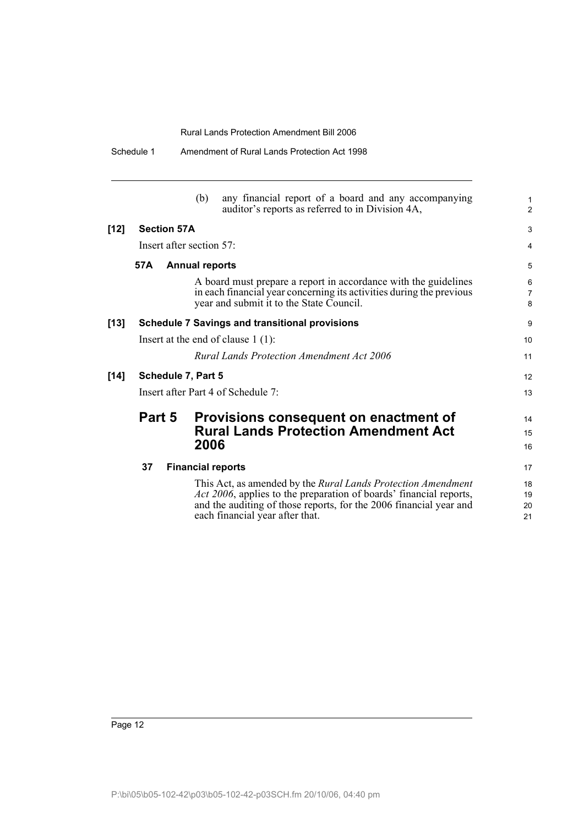|        |                                    |                    | (b)                         | any financial report of a board and any accompanying<br>auditor's reports as referred to in Division 4A,                                                                                                                                    |  |  |
|--------|------------------------------------|--------------------|-----------------------------|---------------------------------------------------------------------------------------------------------------------------------------------------------------------------------------------------------------------------------------------|--|--|
| $[12]$ |                                    | <b>Section 57A</b> |                             |                                                                                                                                                                                                                                             |  |  |
|        |                                    |                    | Insert after section $57$ : |                                                                                                                                                                                                                                             |  |  |
|        | 57A                                |                    | <b>Annual reports</b>       |                                                                                                                                                                                                                                             |  |  |
|        |                                    |                    |                             | A board must prepare a report in accordance with the guidelines<br>in each financial year concerning its activities during the previous<br>year and submit it to the State Council.                                                         |  |  |
| $[13]$ |                                    |                    |                             | <b>Schedule 7 Savings and transitional provisions</b>                                                                                                                                                                                       |  |  |
|        |                                    |                    |                             | Insert at the end of clause $1(1)$ :                                                                                                                                                                                                        |  |  |
|        |                                    |                    |                             | <b>Rural Lands Protection Amendment Act 2006</b>                                                                                                                                                                                            |  |  |
| $[14]$ |                                    |                    | Schedule 7, Part 5          |                                                                                                                                                                                                                                             |  |  |
|        | Insert after Part 4 of Schedule 7: |                    |                             |                                                                                                                                                                                                                                             |  |  |
|        | Part 5                             |                    | 2006                        | Provisions consequent on enactment of<br><b>Rural Lands Protection Amendment Act</b>                                                                                                                                                        |  |  |
|        | 37                                 |                    | <b>Financial reports</b>    |                                                                                                                                                                                                                                             |  |  |
|        |                                    |                    |                             | This Act, as amended by the Rural Lands Protection Amendment<br>Act 2006, applies to the preparation of boards' financial reports,<br>and the auditing of those reports, for the 2006 financial year and<br>each financial year after that. |  |  |
|        |                                    |                    |                             |                                                                                                                                                                                                                                             |  |  |

1 2

3 4

9 10 11

12 13

14 15 16

Schedule 1 Amendment of Rural Lands Protection Act 1998